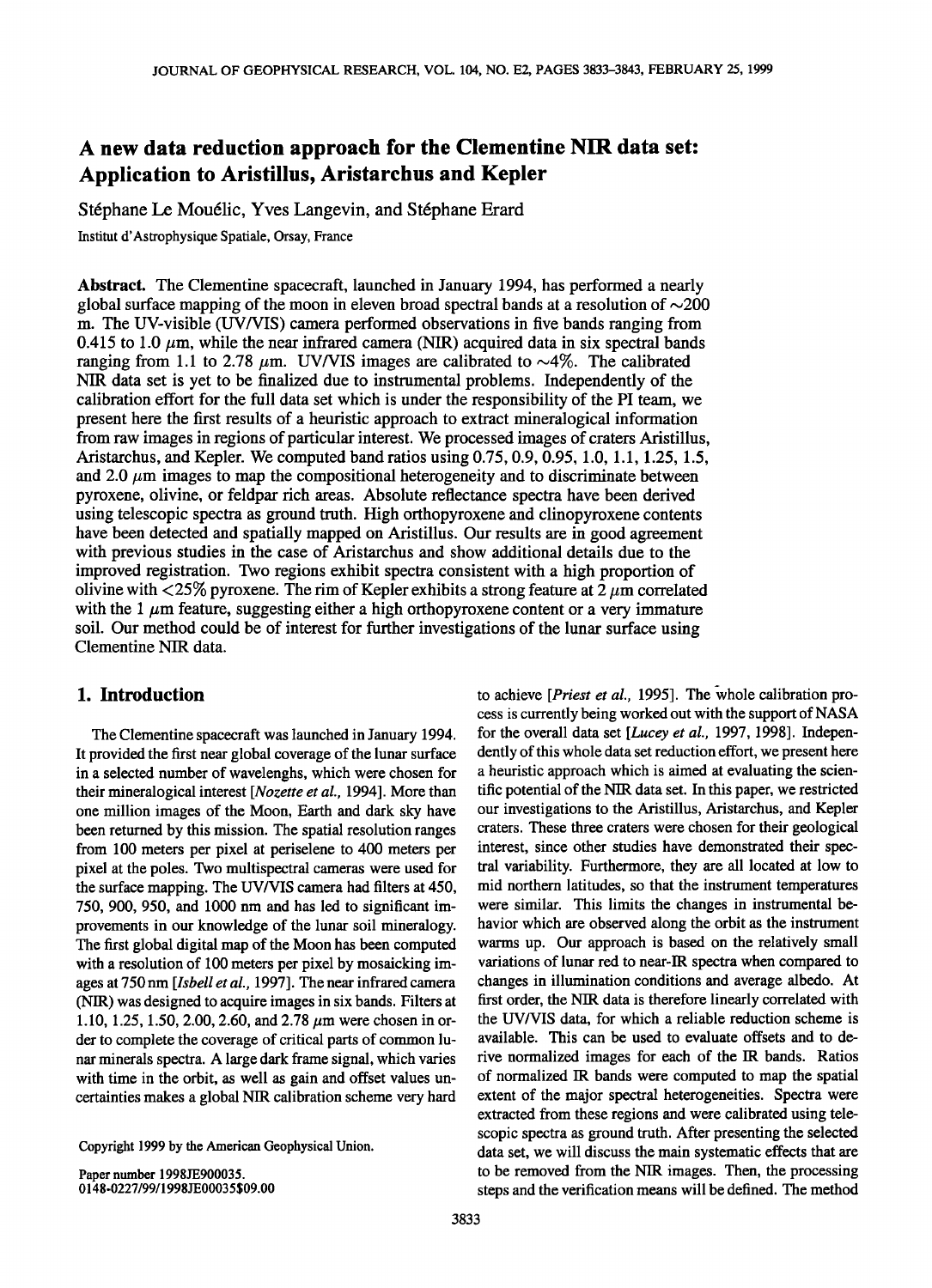# **A new data reduction approach for the Clementine NIR data set: Application to Aristillus, Aristarchus and Kepler**

Stéphane Le Mouélic, Yves Langevin, and Stéphane Erard

**Institut d'Astrophysique Spatiale, Orsay, France** 

**Abstract. The Clementine spacecraft, launched in January 1994, has performed a nearly**  global surface mapping of the moon in eleven broad spectral bands at a resolution of  $\sim$ 200 **m. The UV-visible (UV/VIS) camera performed observations in five bands ranging from**  0.415 to 1.0  $\mu$ m, while the near infrared camera (NIR) acquired data in six spectral bands ranging from 1.1 to 2.78  $\mu$ m. UV/VIS images are calibrated to  $\sim$ 4%. The calibrated **NIR data set is yet to be finalized due to instrumental problems. Independently of the calibration effort for the full data set which is under the responsibility of the PI team, we present here the first results of a heuristic approach to extract mineralogical information from raw images in regions of particular interest. We processed images of craters Aristillus, Aristarchus, and Kepler. We computed band ratios using 0.75, 0.9, 0.95, 1.0, 1.1, 1.25, 1.5,**  and 2.0  $\mu$ m images to map the compositional heterogeneity and to discriminate between **pyroxene, olivine, or feldpar rich areas. Absolute reflectance spectra have been derived using telescopic spectra as ground truth. High orthopyroxene and clinopyroxene contents have been detected and spatially mapped on Aristillus. Our results are in good agreement with previous studies in the case of Aristarchus and show additional details due to the improved registration. Two regions exhibit spectra consistent with a high proportion of**  olivine with  $\langle 25\%$  pyroxene. The rim of Kepler exhibits a strong feature at  $2 \mu m$  correlated with the 1  $\mu$ m feature, suggesting either a high orthopyroxene content or a very immature **soil. Our method could be of interest for further investigations of the lunar surface using Clementine NIR data.** 

# **1. Introduction**

**The Clementine spacecraft was launched in January 1994. It provided the first near global coverage of the lunar surface in a selected number of wavelenghs, which were chosen for their mineralogical interest [Nozette et al., 1994]. More than one million images of the Moon, Earth and dark sky have been returned by this mission. The spatial resolution ranges from 100 meters per pixel at periselene to 400 meters per pixel at the poles. Two multispectral cameras were used for the surface mapping. The UV/VIS camera had filters at 450, 750, 900, 950, and 1000 nm and has led to significant improvements in our knowledge of the lunar soil mineralogy. The first global digital map of the Moon has been computed with a resolution of 100 meters per pixel by mosaicking images at 750nm [Isbell et al., 1997]. The near infrared camera (NIR) was designed to acquire images in six bands. Filters at**  1.10, 1.25, 1.50, 2.00, 2.60, and 2.78 μm were chosen in or**der to complete the coverage of critical parts of common lunar minerals spectra. A large dark frame signal, which varies with time in the orbit, as well as gain and offset values uncertainties makes a global NIR calibration scheme very hard** 

**Copyright 1999 by the American Geophysical Union.** 

**Paper number 1998JE900035. 0148-0227/99/1998JE00035 \$09.00**  to achieve [*Priest et al.*, 1995]. The whole calibration pro**cess is currently being worked out with the support of NASA for the overall data set [Lucey et al., 1997, 1998]. Independently of this whole data set reduction effort, we present here a heuristic approach which is aimed at evaluating the scientific potential of the NIR data set. In this paper, we restricted our investigations to the Aristillus, Aristarchus, and Kepler craters. These three craters were chosen for their geological interest, since other studies have demonstrated their spectral variability. Furthermore, they are all located at low to mid northern latitudes, so that the instrument temperatures were similar. This limits the changes in instrumental behavior which are observed along the orbit as the instrument warms up. Our approach is based on the relatively small variations of lunar red to near-lR spectra when compared to changes in illumination conditions and average albedo. At first order, the NIR data is therefore linearly correlated with the UV/VIS data, for which a reliable reduction scheme is available. This can be used to evaluate offsets and to derive normalized images for each of the IR bands. Ratios of normalized IR bands were computed to map the spatial extent of the major spectral heterogeneities. Spectra were extracted from these regions and were calibrated using telescopic spectra as ground truth. After presenting the selected data set, we will discuss the main systematic effects that are to be removed from the NIR images. Then, the processing steps and the verification means will be defined. The method**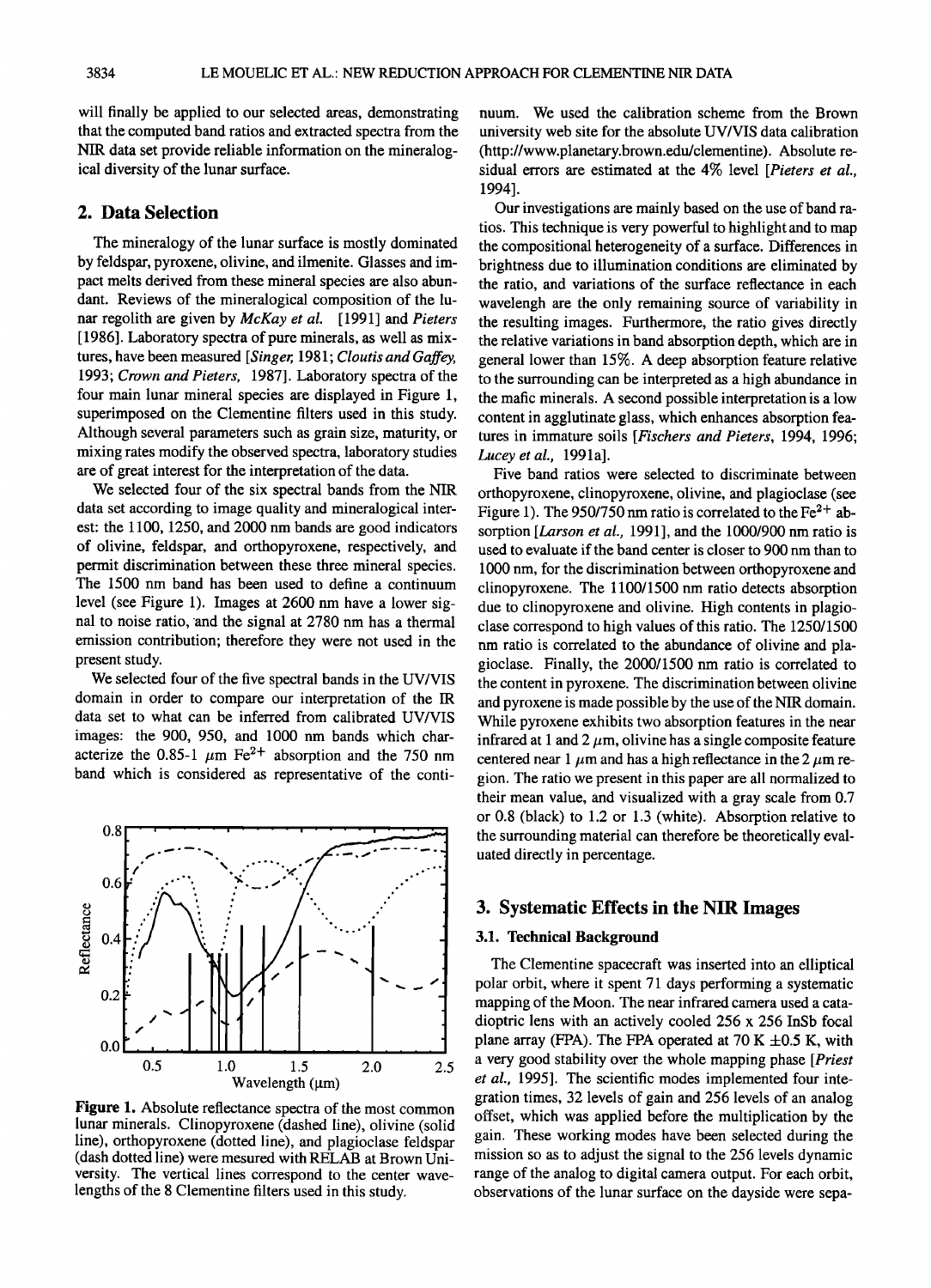**will finally be applied to our selected areas, demonstrating that the computed band ratios and extracted spectra from the NIR data set provide reliable information on the mineralogical diversity of the lunar surface.** 

# **2. Data Selection**

**The mineralogy of the lunar surface is mostly dominated by feldspar, pyroxene, olivine, and ilmenite. Glasses and impact melts derived from these mineral species are also abundant. Reviews of the mineralogical composition of the lunar regolith are given by McKay et al. [1991] and Pieters [1986]. Laboratory spectra of pure minerals, as well as mixtures, have been measured [Singer, 1981; Cloutis and Gaffey, 1993; Crown and Pieters, 1987]. Laboratory spectra of the four main lunar mineral species are displayed in Figure 1, superimposed on the Clementine filters used in this study.**  Although several parameters such as grain size, maturity, or **mixing rates modify the observed spectra, laboratory studies are of great interest for the interpretation of the data.** 

**We selected four of the six spectral bands from the NIR data set according to image quality and mineralogical interest: the 1100, 1250, and 2000 nm bands are good indicators of olivine, feldspar, and orthopyroxene, respectively, and permit discrimination between these three mineral species. The 1500 nm band has been used to define a continuum level (see Figure 1). Images at 2600 nm have a lower sig**nal to noise ratio, and the signal at 2780 nm has a thermal **emission contribution; therefore they were not used in the present study.** 

**We selected four of the five spectral bands in the UV/VIS domain in order to compare our interpretation of the IR data set to what can be inferred from calibrated UV/VIS images: the 900, 950, and 1000 nm bands which char**acterize the 0.85-1  $\mu$ m Fe<sup>2+</sup> absorption and the 750 nm **band which is considered as representative of the conti-**



**Figure 1. Absolute reflectance spectra of the most common lunar minerals. Clinopyroxene (dashed line), olivine (solid**  line), orthopyroxene (dotted line), and plagioclase feldspar **(dash dotted line) were mesured with RELAB at Brown University. The vertical lines correspond to the center wavelengths of the 8 Clementine filters used in this study.** 

**nuum. We used the calibration scheme from the Brown university web site for the absolute UV/VIS data calibration (http://www. planetary. brown.edu/clementine). Absolute residual errors are estimated at the 4% level [Pieters et al., 1994].** 

**Our investigations are mainly based on the use of band ratios. This technique is very powerful to highlight and to map the compositional heterogeneity of a surface. Differences in brightness due to illumination conditions are eliminated by the ratio, and variations of the surface reflectance in each wavelengh are the only remaining source of variability in the resulting images. Furthermore, the ratio gives directly the relative variations in band absorption depth, which are in general lower than 15%. A deep absorption feature relative to the surrounding can be interpreted as a high abundance in the mafic minerals. A second possible interpretation is a low content in agglutinate glass, which enhances absorption features in immature soils [Fischers and Pieters, 1994, 1996;**  Lucey et al., 1991a].

**Five band ratios were selected to discriminate between orthopyroxene, clinopyroxene, olivine, and plagioclase (see**  Figure 1). The 950/750 nm ratio is correlated to the Fe<sup>2+</sup> ab**sorption [Larson et al., 1991], and the 1000/900 nm ratio is used to evaluate if the band center is closer to 900 nm than to 1000 nm, for the discrimination between orthopyroxene and clinopyroxene. The 1100/1500 nm ratio detects absorption due to clinopyroxene and olivine. High contents in plagioclase correspond to high values of this ratio. The 1250/1500 nm ratio is correlated to the abundance of olivine and plagioclase. Finally, the 2000/1500 nm ratio is correlated to the content in pyroxene. The discrimination between olivine and pyroxene is made possible by the use of the NIR domain. While pyroxene exhibits two absorption features in the near**  infrared at 1 and 2  $\mu$ m, olivine has a single composite feature centered near 1  $\mu$ m and has a high reflectance in the 2  $\mu$ m re**gion. The ratio we present in this paper are all normalized to their mean value, and visualized with a gray scale from 0.7 or 0.8 (black) to 1.2 or 1.3 (white). Absorption relative to the surrounding material can therefore be theoretically evaluated directly in percentage.** 

## **3. Systematic Effects in the NIR Images**

# **3.1. Technical Background**

**The Clementine spacecraft was inserted into an elliptical polar orbit, where it spent 71 days performing a systematic mapping of the Moon. The near infrared camera used a catadioptric lens with an actively cooled 256 x 256 InSb focal**  plane array (FPA). The FPA operated at  $70 K \pm 0.5 K$ , with **a very good stability over the whole mapping phase [Priest et al., 1995]. The scientific modes implemented four integration times, 32 levels of gain and 256 levels of an analog offset, which was applied before the multiplication by the gain. These working modes have been selected during the mission so as to adjust the signal to the 256 levels dynamic range of the analog to digital camera output. For each orbit, observations of the lunar surface on the dayside were sepa-**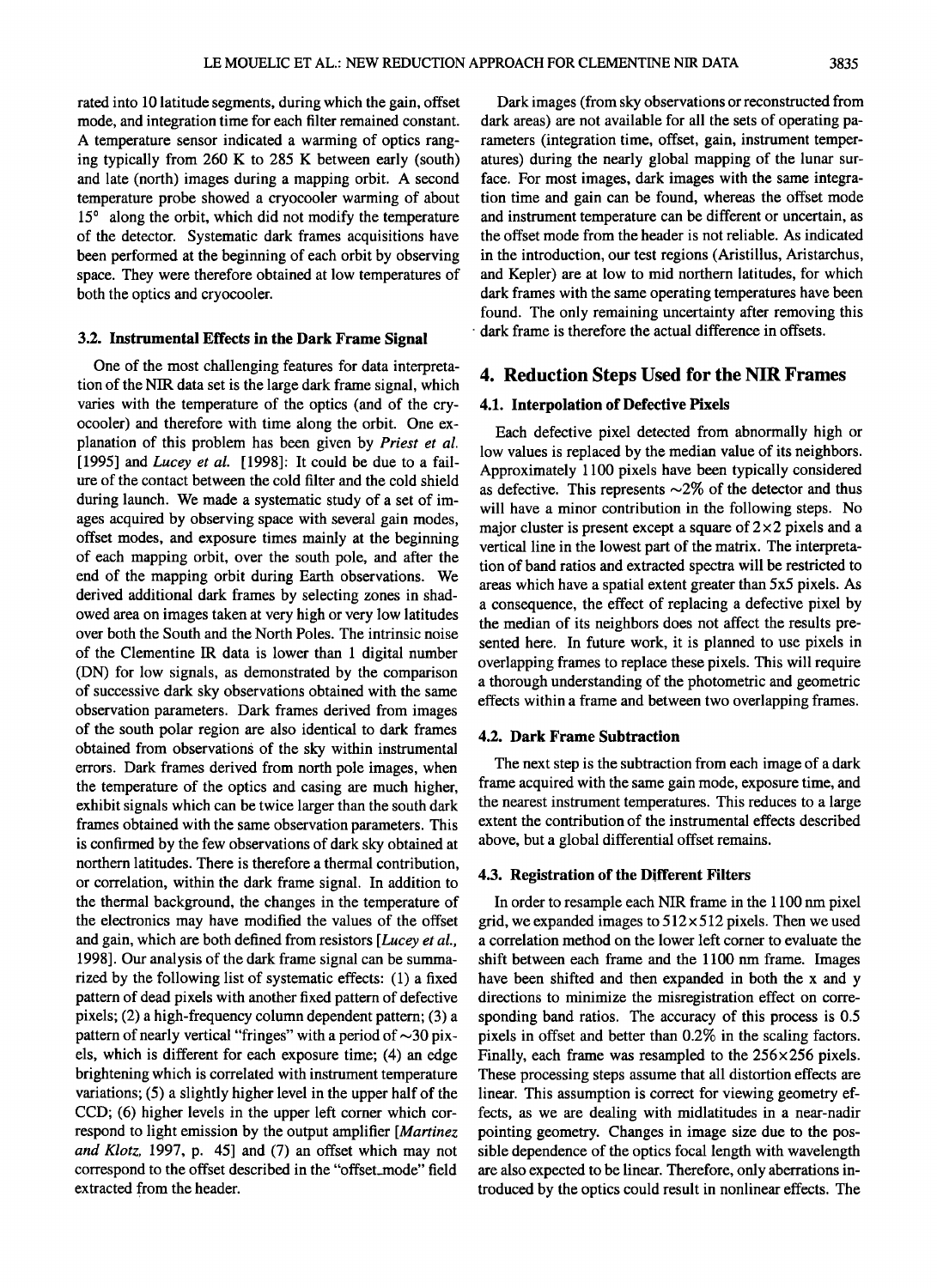**rated into 10 latitude segments, during which the gain, offset mode, and integration time for each filter remained constant. A temperature sensor indicated a warming of optics ranging typically from 260 K to 285 K between early (south) and late (north) images during a mapping orbit. A second temperature probe showed a cryocooler warming of about**  15<sup>°</sup> along the orbit, which did not modify the temperature **of the detector. Systematic dark frames acquisitions have been performed at the beginning of each orbit by observing space. They were therefore obtained at low temperatures of both the optics and cryocooler.** 

#### **3.2. Instrumental Effects in the Dark Frame Signal**

**One of the most challenging features for data interpretation of the NIR data set is the large dark frame signal, which varies with the temperature of the optics (and of the cryocooler) and therefore with time along the orbit. One explanation of this problem has been given by Priest et al. [1995] and Lucey et al. [1998]: It could be due to a failure of the contact between the cold filter and the cold shield during launch. We made a systematic study of a set of images acquired by observing space with several gain modes, offset modes, and exposure times mainly at the beginning of each mapping orbit, over the south pole, and after the end of the mapping orbit during Earth observations. We derived additional dark frames by selecting zones in shadowed area on images taken at very high or very low latitudes over both the South and the North Poles. The intrinsic noise of the Clementine IR data is lower than 1 digital number (DN) for low signals, as demonstrated by the comparison of successive dark sky observations obtained with the same observation parameters. Dark frames derived from images of the south polar region are also identical to dark frames**  obtained from observations of the sky within instrumental **errors. Dark frames derived from north pole images, when the temperature of the optics and casing are much higher, exhibit signals which can be twice larger than the south dark frames obtained with the same observation parameters. This is confirmed by the few observations of dark sky obtained at northern latitudes. There is therefore a thermal contribution, or correlation, within the dark frame signal. In addition to the thermal background, the changes in the temperature of the electronics may have modified the values of the offset and gain, which are both defined from resistors [Lucey et al., 1998]. Our analysis of the dark frame signal can be summarized by the following list of systematic effects: (1) a fixed pattern of dead pixels with another fixed pattern of defective pixels; (2) a high-frequency column dependent pattern; (3) a**  pattern of nearly vertical "fringes" with a period of  $\sim$ 30 pix**els, which is different for each exposure time; (4) an edge brightening which is correlated with instrument temperature variations; (5) a slightly higher level in the upper half of the CCD; (6) higher levels in the upper left corner which correspond to light emission by the output amplifier [Martinez and Klotz, 1997, p. 45] and (7) an offset which may not correspond to the offset described in the "offset\_mode" field extracted from the header.** 

**Dark images (from sky observations or reconstructed from dark areas) are not available for all the sets of operating pa**rameters (integration time, offset, gain, instrument temper**atures) during the nearly global mapping of the lunar surface. For most images, dark images with the same integration time and gain can be found, whereas the offset mode**  and instrument temperature can be different or uncertain, as **the offset mode from the header is not reliable. As indicated in the introduction, our test regions (Aristillus, Aristarchus, and Kepler) are at low to mid northern latitudes, for which dark frames with the same operating temperatures have been found. The only remaining uncertainty after removing this dark frame is therefore the actual difference in offsets.** 

# **4. Reduction Steps Used for the NIR Frames**

## **4.1. Interpolation of Defective Pixels**

**Each defective pixel detected from abnormally high or low values is replaced by the median value of its neighbors. Approximately 1100 pixels have been typically considered**  as defective. This represents  $\sim$ 2% of the detector and thus **will have a minor contribution in the following steps. No major cluster is present except a square of 2 x2 pixels and a vertical line in the lowest part of the matrix. The interpretation of band ratios and extracted spectra will be restricted to areas which have a spatial extent greater than 5x5 pixels. As a consequence, the effect of replacing a defective pixel by the median of its neighbors does not affect the results presented here. In future work, it is planned to use pixels in overlapping frames to replace these pixels. This will require a thorough understanding of the photometric and geometric effects within a frame and between two overlapping frames.** 

## **4.2. Dark Frame Subtraction**

**The next step is the subtraction from each image of a dark frame acquired with the same gain mode, exposure time, and**  the nearest instrument temperatures. This reduces to a large **extent the contribution of the instrumental effects described above, but a global differential offset remains.** 

#### **4.3. Registration of the Different Filters**

**In order to resample each NIR frame in the 1100 nm pixel grid, we expanded images to 512 x 512 pixels. Then we used a correlation method on the lower left corner to evaluate the shift between each frame and the 1100 nm frame. Images have been shifted and then expanded in both the x and y directions to minimize the misregistration effect on corresponding band ratios. The accuracy of this process is 0.5 pixels in offset and better than 0.2% in the scaling factors. Finally, each frame was resampled to the 256x256 pixels. These processing steps assume that all distortion effects are linear. This assumption is correct for viewing geometry effects, as we are dealing with midlatitudes in a near-nadir pointing geometry. Changes in image size due to the possible dependence of the optics focal length with wavelength are also expected to be linear. Therefore, only aberrations introduced by the optics could result in nonlinear effects. The**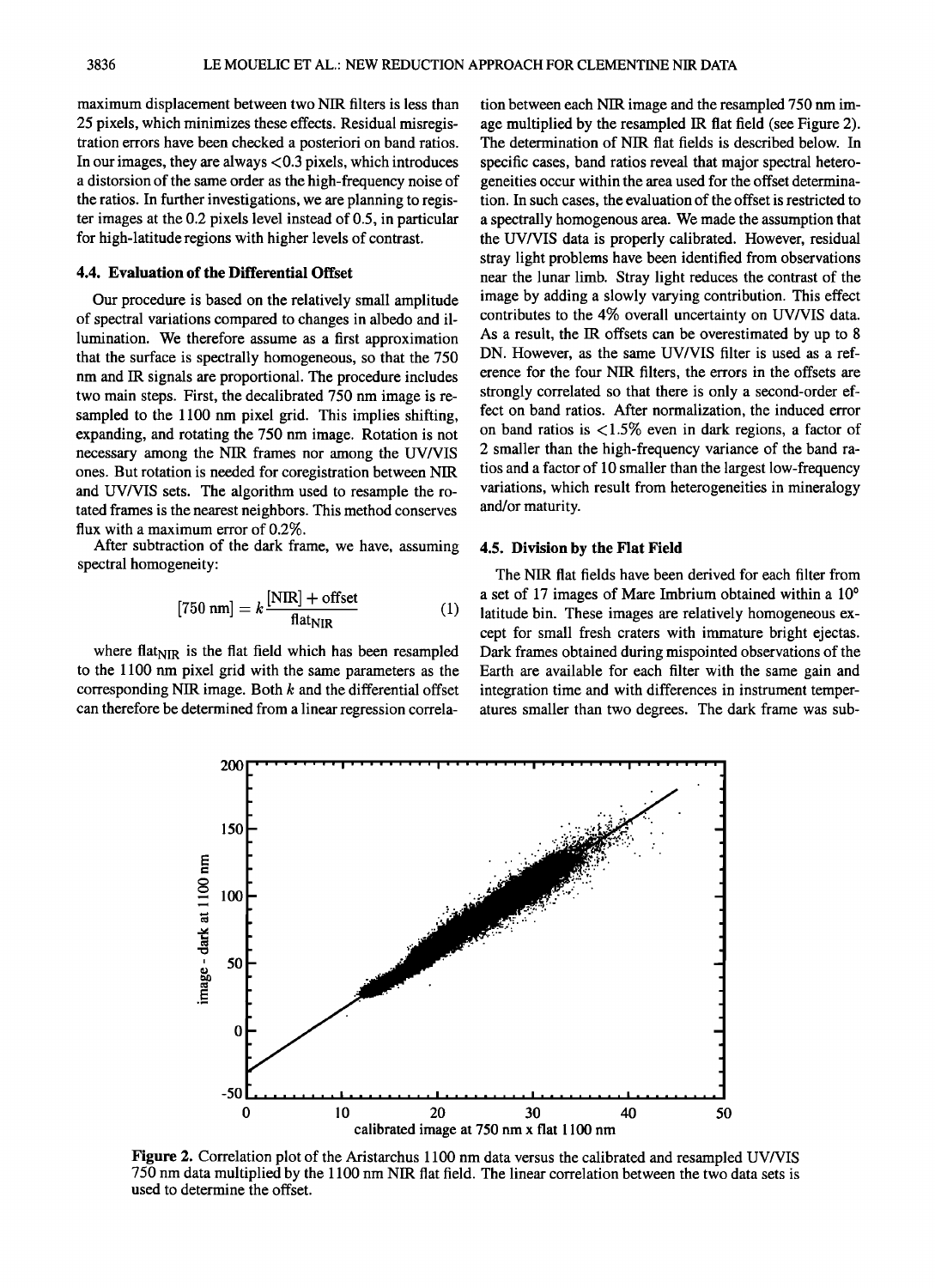**maximum displacement between two NIR filters is less than 25 pixels, which minimizes these effects. Residual misregistration errors have been checked a posteriori on band ratios. In our images, they are always <0.3 pixels, which introduces a distorsion of the same order as the high-frequency noise of the ratios. In further investigations, we are planning to register images at the 0.2 pixels level instead of 0.5, in particular for high-latitude regions with higher levels of contrast.** 

#### **4.4. Evaluation of the Differential Offset**

**Our procedure is based on the relatively small amplitude of spectral variations compared to changes in albedo and illumination. We therefore assume as a first approximation that the surface is spectrally homogeneous, so that the 750 nm and IR signals are proportional. The procedure includes two main steps. First, the decalibrated 750 nm image is resampled to the 1100 nm pixel grid. This implies shifting, expanding, and rotating the 750 nm image. Rotation is not necessary among the NIR frames nor among the UV/VIS ones. But rotation is needed for coregistration between NIR and UV/VIS sets. The algorithm used to resample the rotated frames is the nearest neighbors. This method conserves flux with a maximum error of 0.2%.** 

**After subtraction of the dark frame, we have, assuming spectral homogeneity:** 

$$
[750 \text{ nm}] = k \frac{[\text{NIR}] + \text{offset}}{\text{flat}_{\text{NIR}}} \tag{1}
$$

where flat $_{\text{NIR}}$  is the flat field which has been resampled **to the 1100 nm pixel grid with the same parameters as the corresponding NIR image. Both k and the differential offset can therefore be determined from a linear regression correla-** **tion between each NIR image and the resampled 750 nm image multiplied by the resampled IR flat field (see Figure 2). The determination of NIR flat fields is described below. In specific cases, band ratios reveal that major spectral heterogeneities occur within the area used for the offset determination. In such cases, the evaluation of the offset is restricted to a spectrally homogenous area. We made the assumption that the UV/VIS data is properly calibrated. However, residual stray light problems have been identified from observations near the lunar limb. Stray light reduces the contrast of the image by adding a slowly varying contribution. This effect contributes to the 4% overall uncertainty on UV/VIS data. As a result, the IR offsets can be overestimated by up to 8 DN. However, as the same UV/VIS filter is used as a reference for the four NIR filters, the errors in the offsets are strongly correlated so that there is only a second-order effect on band ratios. After normalization, the induced error on band ratios is < 1.5% even in dark regions, a factor of 2 smaller than the high-frequency variance of the band ratios and a factor of 10 smaller than the largest low-frequency variations, which result from heterogeneities in mineralogy and/or maturity.** 

#### **4.5. Division by the Flat Field**

**The NIR flat fields have been derived for each filter from**  a set of 17 images of Mare Imbrium obtained within a 10<sup>°</sup> **latitude bin. These images are relatively homogeneous except for small fresh craters with immature bright ejectas. Dark frames obtained during mispointed observations of the Earth are available for each filter with the same gain and**  integration time and with differences in instrument temper**atures smaller than two degrees. The dark frame was sub-**



**Figure 2. Correlation plot of the Aristarchus 1100 nm data versus the calibrated and resampled UV/VIS 750 nm data multiplied by the 1100 nm NIR flat field. The linear correlation between the two data sets is used to determine the offset.**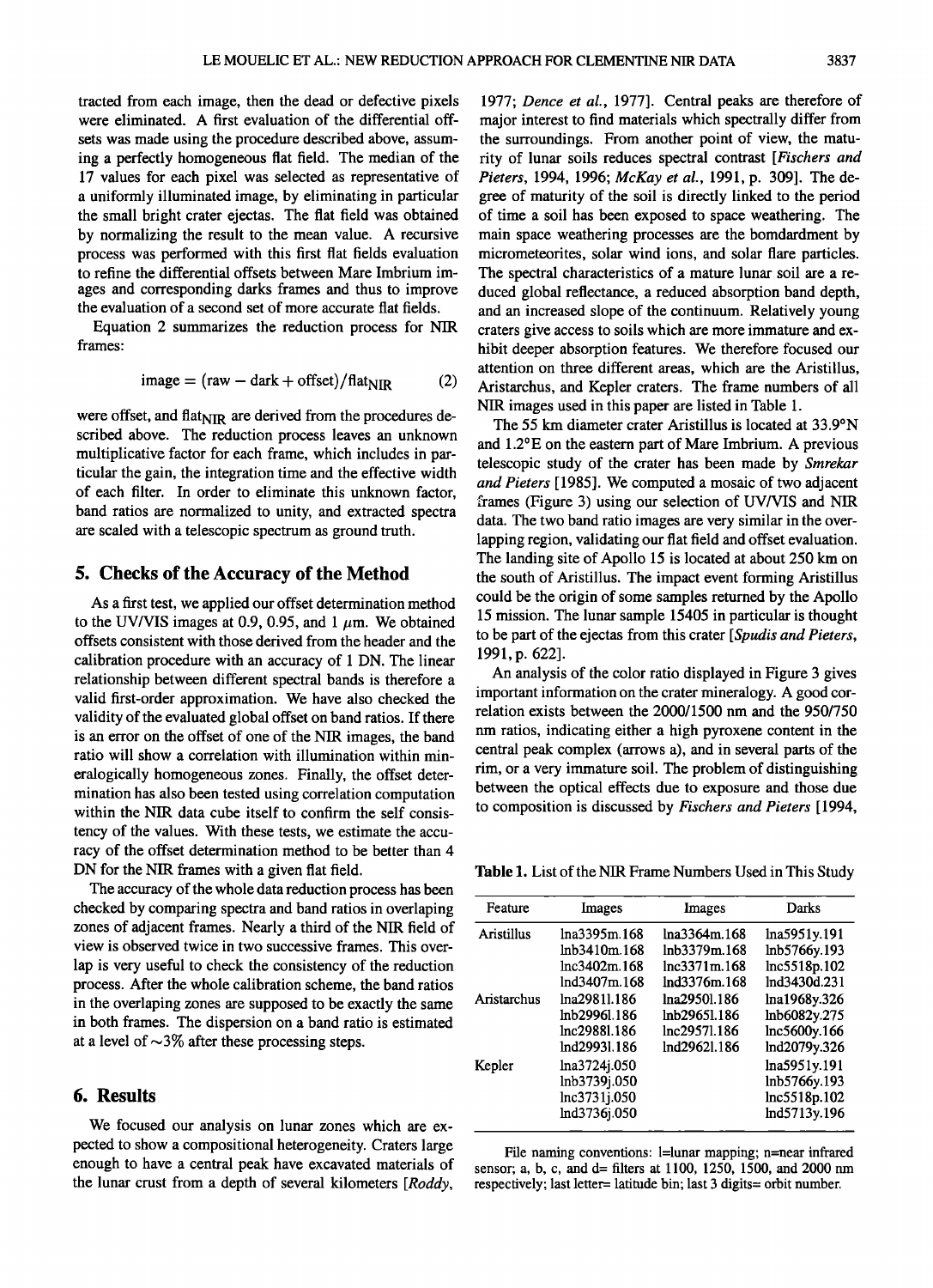**tracted from each image, then the dead or defective pixels were eliminated. A first evaluation of the differential offsets was made using the procedure described above, assuming a perfectly homogeneous flat field. The median of the 17 values for each pixel was selected as representative of a uniformly illuminated image, by eliminating in particular the small bright crater ejectas. The flat field was obtained by normalizing the result to the mean value. A recursive process was performed with this first flat fields evaluation to refine the differential offsets between Mare Imbrium images and corresponding darks frames and thus to improve the evaluation of a second set of more accurate flat fields.** 

**Equation 2 summarizes the reduction process for NIR frames:** 

$$
image = (raw - dark + offset) / flat_{\text{NIR}} \tag{2}
$$

were offset, and flat<sub>NIR</sub> are derived from the procedures de**scribed above. The reduction process leaves an unknown multiplicative factor for each frame, which includes in particular the gain, the integration time and the effective width of each filter. In order to eliminate this unknown factor, band ratios are normalized to unity, and extracted spectra are scaled with a telescopic spectrum as ground truth.** 

## **5. Checks of the Accuracy of the Method**

**As a first test, we applied our offset determination method**  to the UV/VIS images at 0.9, 0.95, and  $1 \mu m$ . We obtained **offsets consistent with those derived from the header and the calibration procedure with an accuracy of 1 DN. The linear relationship between different spectral bands is therefore a valid first-order approximation. We have also checked the validity of the evaluated global offset on band ratios. If there is an error on the offset of one of the NIR images, the band ratio will show a correlation with illumination within mineralogically homogeneous zones. Finally, the offset determination has also been tested using correlation computation within the NIR data cube itself to confirm the self consistency of the values. With these tests, we estimate the accuracy of the offset determination method to be better than 4 DN for the NIR frames with a given flat field.** 

**The accuracy of the whole data reduction process has been**  checked by comparing spectra and band ratios in overlaping **zones of adjacent frames. Nearly a third of the NIR field of view is observed twice in two successive frames. This overlap is very useful to check the consistency of the reduction process. After the whole calibration scheme, the band ratios in the overlaping zones are supposed to be exactly the same in both frames. The dispersion on a band ratio is estimated**  at a level of  $\sim$ 3% after these processing steps.

# **6. Results**

**We focused our analysis on lunar zones which are expected to show a compositional heterogeneity. Craters large enough to have a central peak have excavated materials of the lunar crust from a depth of several kilometers [Roddy,** 

**1977; Dence et al., 1977]. Central peaks are therefore of**  major interest to find materials which spectrally differ from **the surroundings. From another point of view, the maturity of lunar soils reduces spectral contrast [Fischers and Pieters, 1994, 1996; McKay et al., 1991, p. 309]. The degree of maturity of the soil is directly linked to the period of time a soil has been exposed to space weathering. The main space weathering processes are the bomdardment by micrometeorites, solar wind ions, and solar flare particles. The spectral characteristics of a mature lunar soil are a reduced global reflectance, a reduced absorption band depth, and an increased slope of the continuum. Relatively young craters give access to soils which are more immature and exhibit deeper absorption features. We therefore focused our attention on three different areas, which are the Aristillus, Aristarchus, and Kepler craters. The frame numbers of all NIR images used in this paper are listed in Table 1.** 

**The 55 km diameter crater Aristillus is located at 33.9øN and 1.2øE on the eastern part of Mare Imbrium. A previous telescopic study of the crater has been made by Smrekar and Pieters [1985]. We computed a mosaic of two adjacent frames (Figure 3) using our selection of UV/VIS and NIR data. The two band ratio images are very similar in the overlapping region, validating our flat field and offset evaluation. The landing site of Apollo 15 is located at about 250 km on the south of Aristillus. The impact event forming Aristillus could be the origin of some samples returned by the Apollo 15 mission. The lunar sample 15405 in particular is thought to be part of the ejectas from this crater [Spudis and Pieters, 1991, p. 622].** 

**An analysis of the color ratio displayed in Figure 3 gives important information on the crater mineralogy. A good correlation exists between the 2000/1500 nm and the 950/750 nm ratios, indicating either a high pyroxene content in the central peak complex (arrows a), and in several parts of the rim, or a very immature soil. The problem of distinguishing between the optical effects due to exposure and those due to composition is discussed by Fischers and Pieters [1994,** 

**Table 1. List of the NIR Frame Numbers Used in This Study** 

| Feature     | Images                                                       | Images       | Darks                                                        |
|-------------|--------------------------------------------------------------|--------------|--------------------------------------------------------------|
| Aristillus  | lna3395m.168                                                 | lna3364m.168 | lna5951y.191                                                 |
|             | lnb3410m.168                                                 | lnb3379m.168 | lnb5766y.193                                                 |
|             | lnc3402m.168                                                 | lnc3371m.168 | lnc5518p.102                                                 |
|             | lnd3407m.168                                                 | lnd3376m.168 | lnd3430d.231                                                 |
| Aristarchus | lna29811.186                                                 | lna29501.186 | lna1968y.326                                                 |
|             | lnh2996l.186                                                 | lnb29651.186 | lnb6082y.275                                                 |
|             | lnc29881.186                                                 | lnc29571.186 | lnc5600y.166                                                 |
|             | lnd29931.186                                                 | lnd2962l.186 | lnd2079y.326                                                 |
| Kepler      | lna3724j.050<br>lnb3739j.050<br>lnc3731j.050<br>lnd3736j.050 |              | lna5951y.191<br>lnb5766y.193<br>lnc5518p.102<br>lnd5713y.196 |

File naming conventions: l=lunar mapping; n=near infrared **sensor; a, b, c, and d= filters at 1100, 1250, 1500, and 2000 nm**  respectively; last letter= latitude bin; last 3 digits= orbit number.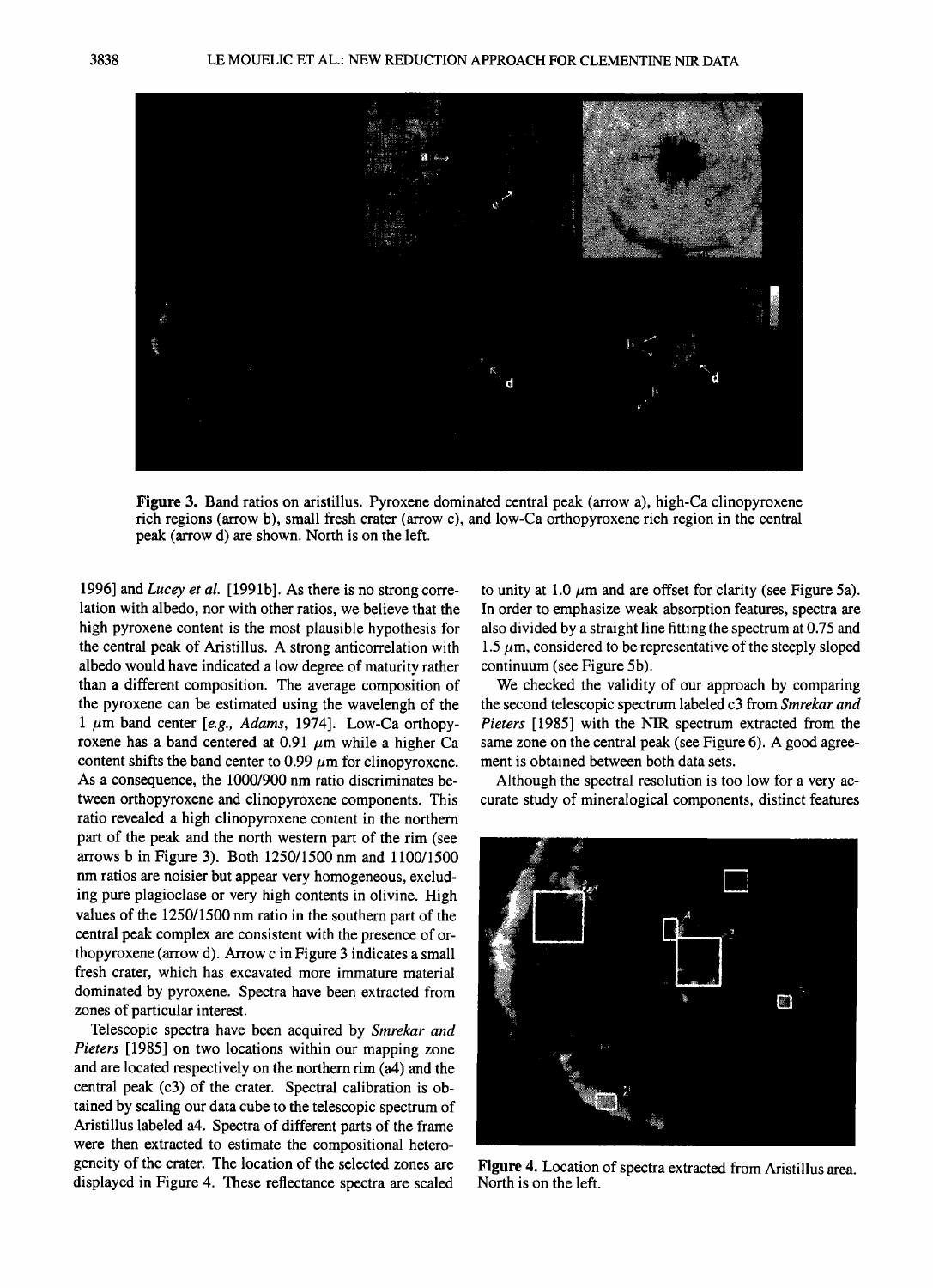

**Figure 3. Band ratios on aristillus. Pyroxene dominated central peak (arrow a), high-Ca clinopyroxene rich regions (arrow b), small fresh crater (arrow c), and low-Ca orthopyroxene rich region in the central peak (arrow d) are shown. North is on the left.** 

**1996] and Lucey et al. [1991b]. As there is no strong correlation with albedo, nor with other ratios, we believe that the high pyroxene content is the most plausible hypothesis for the central peak of Aristillus. A strong anticorrelation with albedo would have indicated a low degree of maturity rather than a different composition. The average composition of the pyroxene can be estimated using the wavelengh of the**  1  $\mu$ m band center [e.g., Adams, 1974]. Low-Ca orthopyroxene has a band centered at  $0.91 \mu m$  while a higher Ca content shifts the band center to  $0.99 \mu m$  for clinopyroxene. **As a consequence, the 1000/900 nm ratio discriminates between orthopyroxene and clinopyroxene components. This ratio revealed a high clinopyroxene content in the northern part of the peak and the north western part of the rim (see arrows b in Figure 3). Both 1250/1500 nm and 1100/1500 nm ratios are noisier but appear very homogeneous, excluding pure plagioclase or very high contents in olivine. High values of the 1250/1500 nm ratio in the southern part of the central peak complex are consistent with the presence of orthopyroxene (arrow d). Arrow c in Figure 3 indicates a small fresh crater, which has excavated more immature material dominated by pyroxene. Spectra have been extracted from zones of particular interest.** 

**Telescopic spectra have been acquired by Smrekar and Pieters [1985] on two locations within our mapping zone and are located respectively on the northern rim (a4) and the central peak (c3) of the crater. Spectral calibration is obtained by scaling our data cube to the telescopic spectrum of Aristillus labeled a4. Spectra of different parts of the frame were then extracted to estimate the compositional heterogeneity of the crater. The location of the selected zones are displayed in Figure 4. These reflectance spectra are scaled** 

to unity at 1.0  $\mu$ m and are offset for clarity (see Figure 5a). **In order to emphasize weak absorption features, spectra are also divided by a straight line fitting the spectrum at 0.75 and**  1.5  $\mu$ m, considered to be representative of the steeply sloped **continuum (see Figure 5b).** 

**We checked the validity of our approach by comparing the second telescopic spectrum labeled c3 from Smrekar and Pieters [1985] with the NIR spectrum extracted from the same zone on the central peak (see Figure 6). A good agreement is obtained between both data sets.** 

**Although the spectral resolution is too low for a very accurate study of mineralogical components, distinct features** 



**Figure 4. Location of spectra extracted from Aristillus area. North is on the left.**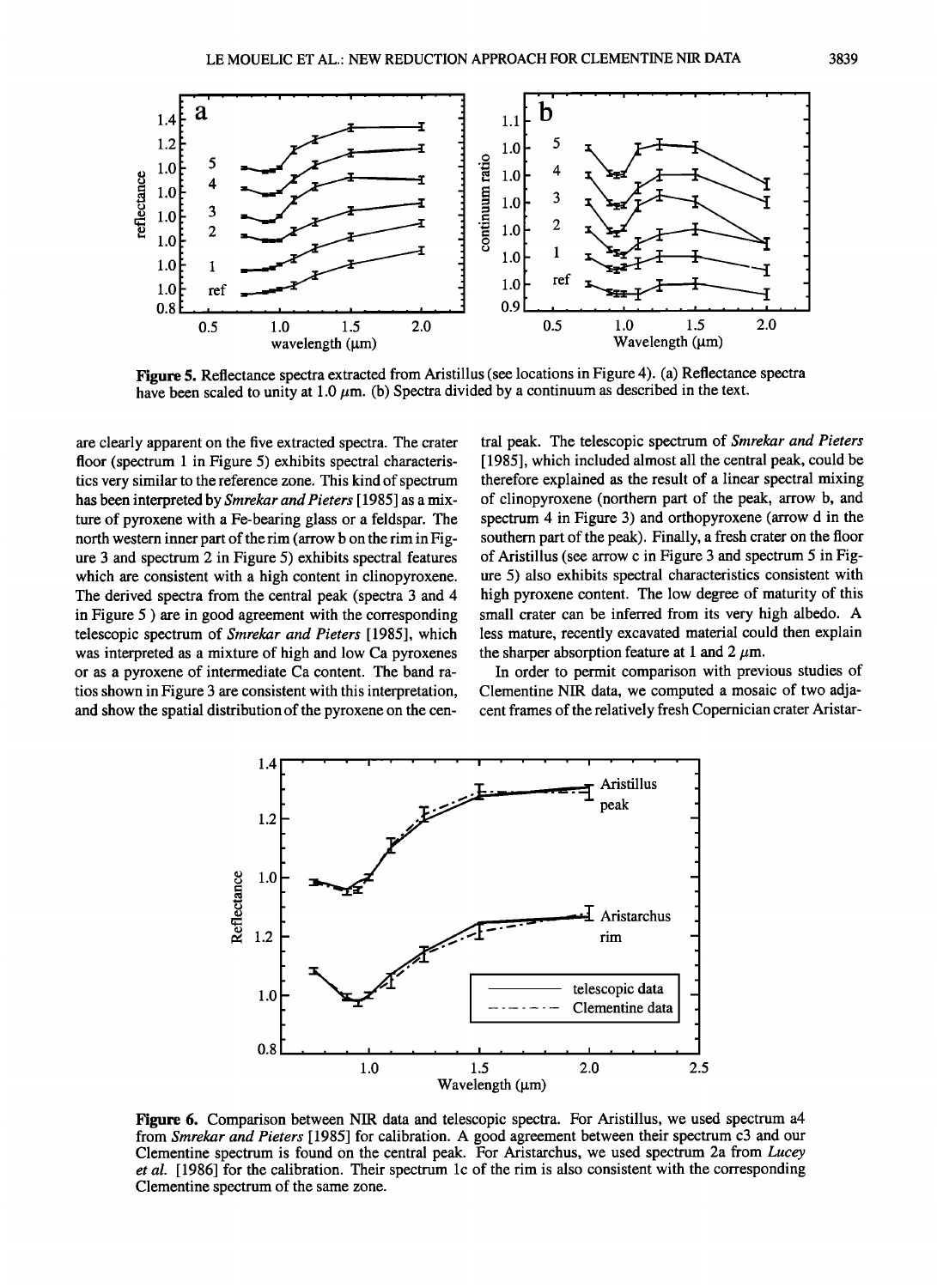

**Figure 5. Reflectance spectra extracted from Aristillus (see locations in Figure 4). (a) Reflectance spectra** have been scaled to unity at  $1.0 \mu m$ . (b) Spectra divided by a continuum as described in the text.

**are clearly apparent on the five extracted spectra. The crater floor (spectrum 1 in Figure 5) exhibits spectral characteristics very similar to the reference zone. This kind of spectrum has been interpreted by Smrekar and Pieters [ 1985] as a mixture of pyroxene with a Fe-bearing glass or a feldspar. The north western inner part of the rim (arrow b on the rim in Figure 3 and spectrum 2 in Figure 5) exhibits spectral features which are consistent with a high content in clinopyroxene. The derived spectra from the central peak (spectra 3 and 4 in Figure 5 ) are in good agreement with the corresponding telescopic spectrum of Smrekar and Pieters [1985], which was interpreted as a mixture of high and low Ca pyroxenes or as a pyroxene of intermediate Ca content. The band ratios shown in Figure 3 are consistent with this interpretation, and show the spatial distribution of the pyroxene on the cen-**

**tral peak. The telescopic spectrum of Smrekar and Pieters [1985], which included almost all the central peak, could be therefore explained as the result of a linear spectral mixing of clinopyroxene (northern part of the peak, arrow b, and spectrum 4in Figure 3) and orthopyroxene (arrow d in the southern part of the peak). Finally, a fresh crater on the floor of Aristillus (see arrow c in Figure 3 and spectrum 5 in Figure 5) also exhibits spectral characteristics consistent with high pyroxene content. The low degree of maturity of this small crater can be inferred from its very high albedo. A less mature, recently excavated material could then explain**  the sharper absorption feature at 1 and 2  $\mu$ m.

**In order to permit comparison with previous studies of Clementine NIR data, we computed a mosaic of two adjacent frames of the relatively fresh Copernician crater Aristar-**



**Figure 6. Comparison between NIR data and telescopic spectra. For Aristillus, we used spectrum a4 from Smrekar and Pieters [ 1985] for calibration. A good agreement between their spectrum c3 and our Clementine spectrum is found on the central peak. For Aristarchus, we used spectrum 2a from Lucey et al. [1986] for the calibration. Their spectrum lc of the rim is also consistent with the corresponding Clementine spectrum of the same zone.**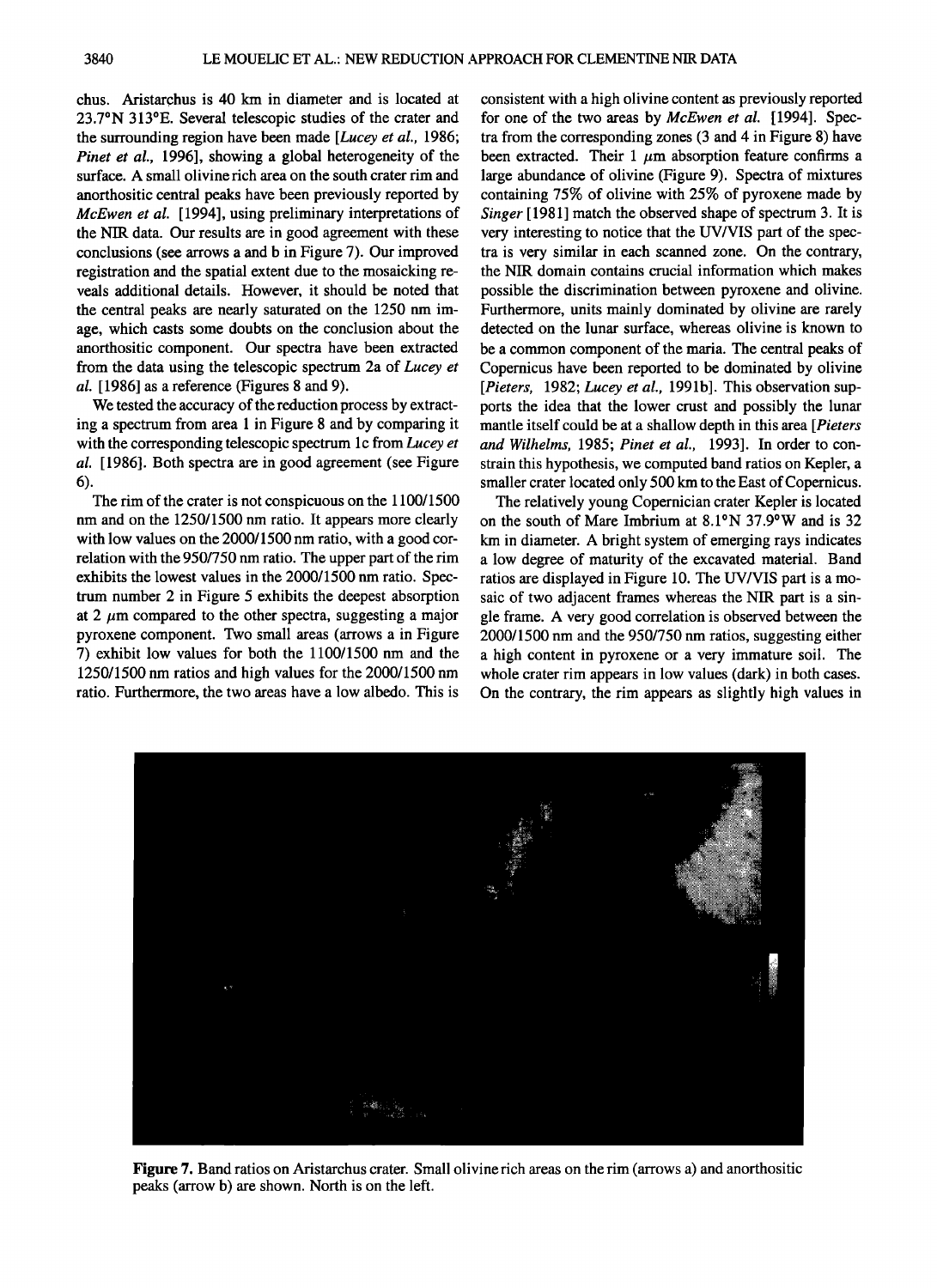**chus. Aristarchus is 40 km in diameter and is located at 23.7øN 313øE. Several telescopic studies of the crater and the surrounding region have been made [Lucey et al., 1986; Pinet et al., 1996], showing a global heterogeneity of the surface. A small olivine rich area on the south crater rim and**  anorthositic central peaks have been previously reported by **McEwen et al. [1994], using preliminary interpretations of the NIR data. Our results are in good agreement with these conclusions (see arrows a and b in Figure 7). Our improved registration and the spatial extent due to the mosaicking reveals additional details. However, it should be noted that the central peaks are nearly saturated on the 1250 nm image, which casts some doubts on the conclusion about the anorthositic component. Our spectra have been extracted from the data using the telescopic spectrum 2a of Lucey et al. [1986] as a reference (Figures 8 and 9).** 

**We tested the accuracy of the reduction process by extracting a spectrum from area 1 in Figure 8 and by comparing it with the corresponding telescopic spectrum lc from Lucey et al. [ 1986]. Both spectra are in good agreement (see Figure 6).** 

**The rim of the crater is not conspicuous on the 1100/1500 nm and on the 1250/1500 nm ratio. It appears more clearly with low values on the 2000/1500 nm ratio, with a good correlation with the 950/750 nm ratio. The upper part of the rim exhibits the lowest values in the 2000/1500 nm ratio. Spectrum number 2 in Figure 5 exhibits the deepest absorption**  at 2  $\mu$ m compared to the other spectra, suggesting a major **pyroxene component. Two small areas (arrows a in Figure 7) exhibit low values for both the 1100/1500 nm and the 1250/1500 nm ratios and high values for the 2000/1500 nm ratio. Furthermore, the two areas have a low albedo. This is** 

**consistent with a high olivine content as previously reported for one of the two areas by McEwen et al. [1994]. Spectra from the corresponding zones (3 and 4 in Figure 8) have**  been extracted. Their  $1 \mu m$  absorption feature confirms a **large abundance of olivine (Figure 9). Spectra of mixtures containing 75% of olivine with 25% of pyroxene made by Singer [ 1981 ] match the observed shape of spectrum 3. It is very interesting to notice that the UV/VIS part of the spectra is very similar in each scanned zone. On the contrary, the NIR domain contains crucial information which makes possible the discrimination between pyroxene and olivine. Furthermore, units mainly dominated by olivine are rarely detected on the lunar surface, whereas olivine is known to be a common component of the maria. The central peaks of Copernicus have been reported to be dominated by olivine**  [Pieters, 1982; Lucey et al., 1991b]. This observation sup**ports the idea that the lower crust and possibly the lunar mantle itself could be at a shallow depth in this area [Pieters and Wilhelms, 1985; Pinet et al., 1993]. In order to constrain this hypothesis, we computed band ratios on Kepler, a smaller crater located only 500 km to the East of Copernicus.** 

**The relatively young Copernician crater Kepler is located on the south of Mare Imbrium at 8.1øN 37.9øW and is 32 km in diameter. A bright system of emerging rays indicates a low degree of maturity of the excavated material. Band ratios are displayed in Figure 10. The UV/VIS part is a mosaic of two adjacent frames whereas the NIR part is a single frame. A very good correlation is observed between the 2000/1500 nm and the 950/750 nm ratios, suggesting either a high content in pyroxene or a very immature soil. The whole crater rim appears in low values (dark) in both cases. On the contrary, the rim appears as slightly high values in** 



**Figure 7. Band ratios on Aristarchus crater. Small olivine rich areas on the rim (arrows a) and anorthositic peaks (arrow b) are shown. North is on the left.**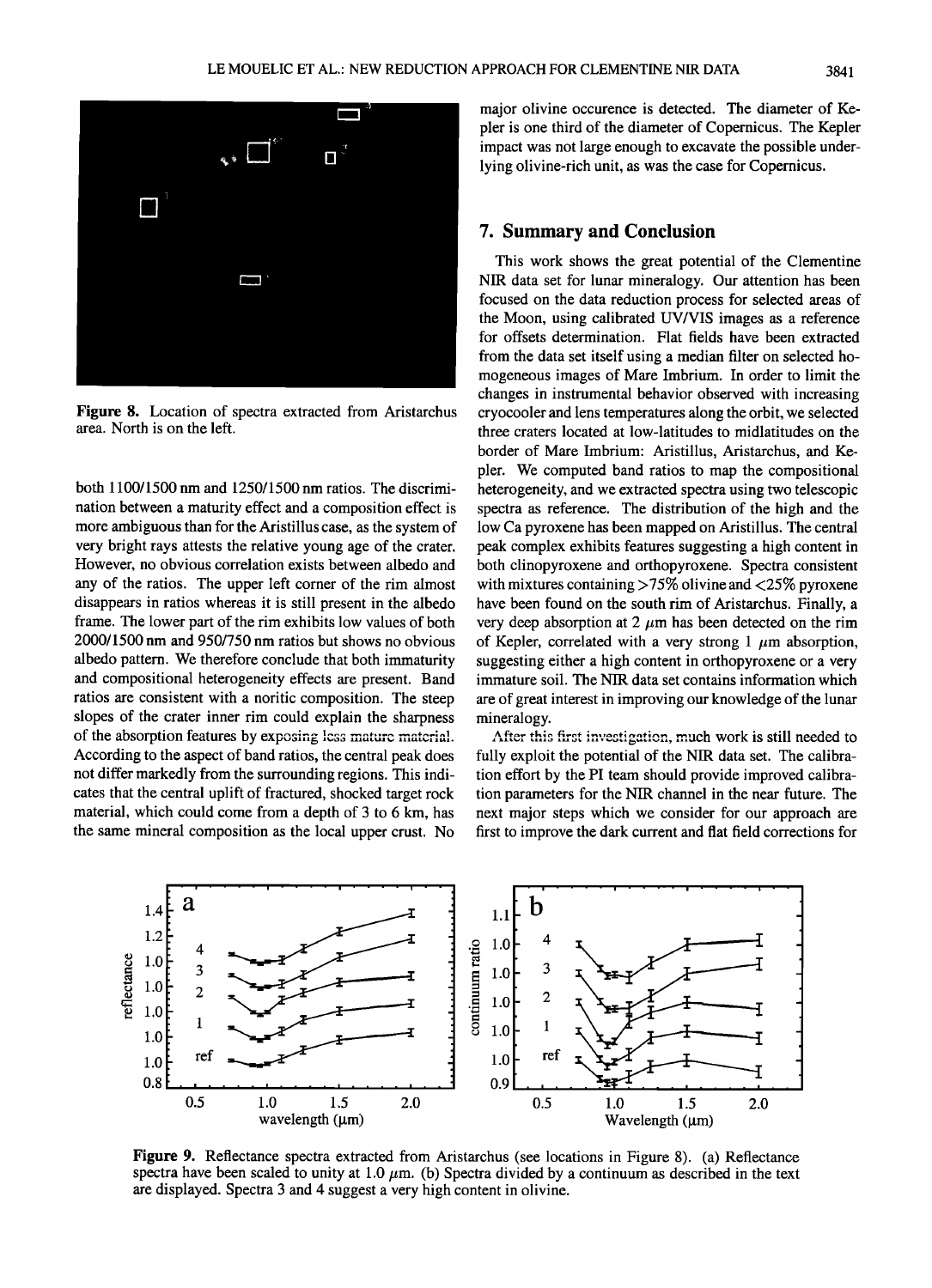

**Figure 8. Location of spectra extracted from Aristarchus area. North is on the left.** 

**both 1100/1500 nm and 1250/1500 nm ratios. The discrimination between a maturity effect and a composition effect is more ambiguous than for the Aristillus case, as the system of very bright rays attests the relative young age of the crater. However, no obvious correlation exists between albedo and any of the ratios. The upper left corner of the rim almost disappears in ratios whereas it is still present in the albedo frame. The lower part of the rim exhibits low values of both 2000/1500 nm and 950/750 nm ratios but shows no obvious albedo pattern. We therefore conclude that both immaturity and compositional heterogeneity effects are present. Band ratios are consistent with a noritic composition. The steep slopes of the crater inner rim could explain the sharpness**  of the absorption features by exposing less mature material. **According to the aspect of band ratios, the central peak does not differ markedly from the surrounding regions. This indicates that the central uplift of fractured, shocked target rock material, which could come from a depth of 3 to 6 km, has the same mineral composition as the local upper crust. No** 

**major olivine occurence is detected. The diameter of Kepler is one third of the diameter of Copernicus. The Kepler impact was not large enough to excavate the possible underlying olivine-rich unit, as was the case for Copernicus.** 

# **7. Summary and Conclusion**

**This work shows the great potential of the Clementine NIR data set for lunar mineralogy. Our attention has been focused on the data reduction process for selected areas of the Moon, using calibrated UV/VIS images as a reference for offsets determination. Flat fields have been extracted from the data set itself using a median filter on selected homogeneous images of Mare Imbrium. In order to limit the changes in instrumental behavior observed with increasing cryocooler and lens temperatures along the orbit, we selected three craters located at low-latitudes to midlatitudes on the border of Mare Imbrium' Aristillus, Aristarchus, and Kepler. We computed band ratios to map the compositional heterogeneity, and we extracted spectra using two telescopic spectra as reference. The distribution of the high and the low Ca pyroxene has been mapped on Aristillus. The central peak complex exhibits features suggesting ahigh content in both clinopyroxene and orthopyroxene. Spectra consistent with mixtures containing >75% olivine and <25% pyroxene have been found on the south rim of Aristarchus. Finally, a**  very deep absorption at  $2 \mu m$  has been detected on the rim of Kepler, correlated with a very strong  $1 \mu m$  absorption, **suggesting either a high content in orthopyroxene or a very immature soil. The NIR data set contains information which are of great interest in improving our knowledge of the lunar mineralogy.** 

After this first investigation, much work is still needed to **fully exploit the potential of the NIR data set. The calibration effort by the PI team should provide improved calibration parameters for the NIR channel in the near future. The next major steps which we consider for our approach are first to improve the dark current and flat field corrections for** 



**Figure 9. Reflectance spectra extracted from Aristarchus (see locations in Figure 8). (a) Reflectance**  spectra have been scaled to unity at 1.0  $\mu$ m. (b) Spectra divided by a continuum as described in the text **are displayed. Spectra 3 and 4 suggest avery high content in olivine.**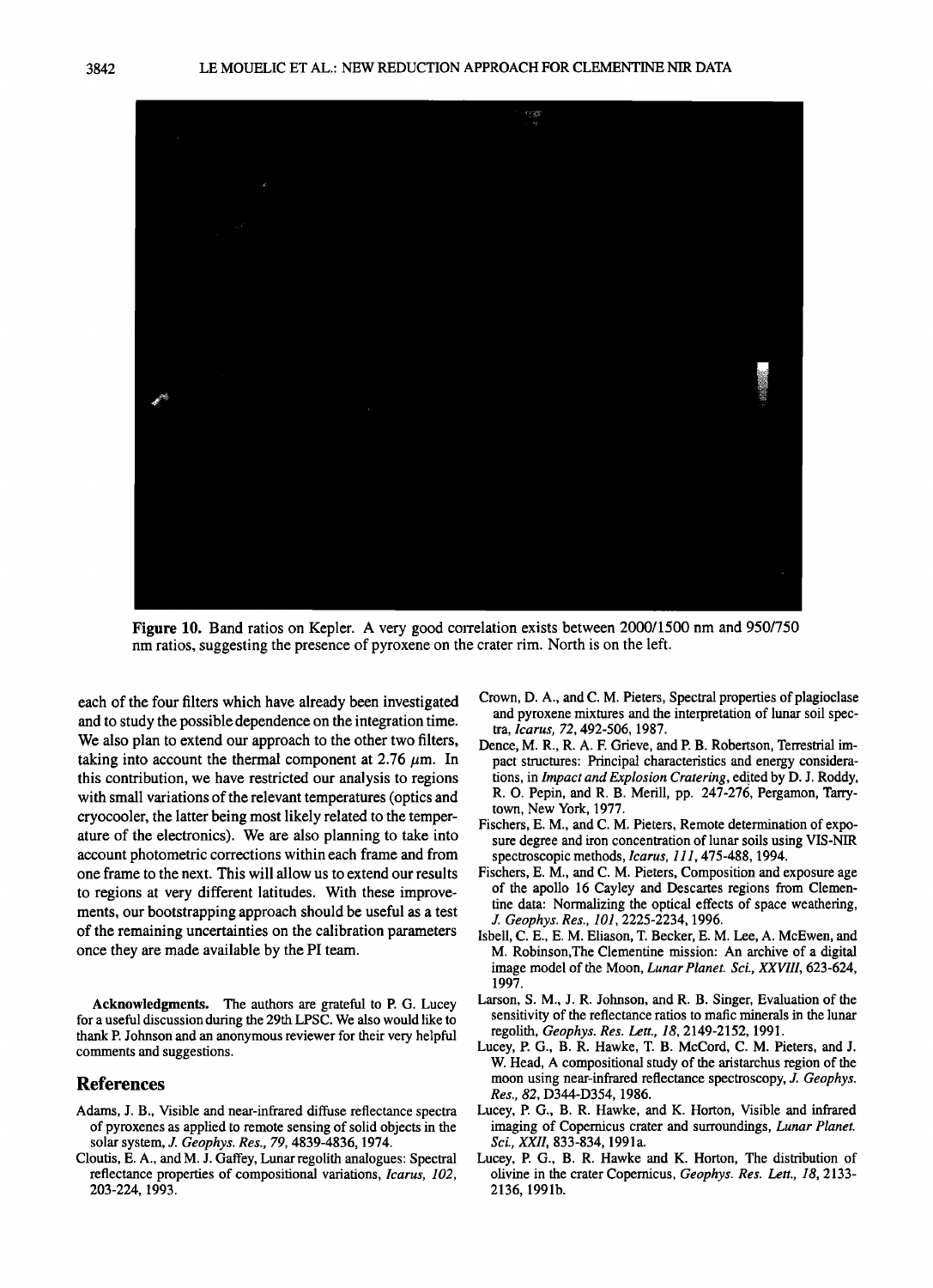

**Figure 10.** Band ratios on Kepler. A very good correlation exists between 2000/1500 nm and 950/750 **nm ratios, suggesting the presence of pyroxene on the crater rim. North is on the left.** 

**each of the four filters which have already been investigated and to study the possible dependence on the integration time. We also plan to extend our approach to the other two filters,**  taking into account the thermal component at  $2.76 \mu m$ . In **this contribution, we have restricted our analysis to regions**  with small variations of the relevant temperatures (optics and **cryocooler, the latter being most likely related to the temperature of the electronics). We are also planning to take into account photometric corrections within each frame and from one frame to the next. This will allow us to extend our results to regions at very different latitudes. With these improvements, our bootstrapping approach should be useful as a test of the remaining uncertainties on the calibration parameters once they are made available by the PI team.** 

**Acknowledgments. The authors are grateful to P. G. Lucey for a useful discussion during the 29th LPSC. We also would like to thank P. Johnson and an anonymous reviewer for their very helpful comments and suggestions.** 

## **References**

- Adams, J. B., Visible and near-infrared diffuse reflectance spectra **of pyroxenes as applied to remote sensing of solid objects in the solar system, J. Geophys. Res., 79, 4839-4836, 1974.**
- **Cloutis, E. A., and M. J. Gaffey, Lunar regolith analogues: Spectral reflectance properties of compositional variations, Icarus, 102, 203-224, 1993.**
- **Crown, D. A., and C. M. Pieters, Spectral properties of plagioclase and pyroxene mixtures and the interpretation of lunar soil spectra, Icarus, 72, 492-506, 1987.**
- **Dence, M. R., R. A. F. Grieve, and P. B. Robertson, Terrestrial impact structures: Principal characteristics and energy considera**tions, in *Impact and Explosion Cratering*, edited by D. J. Roddy, **R. O. Pepin, and R. B. Merill, pp. 247-276, Pergamon, Tarrytown, New York, 1977.**
- **Fischers, E. M., and C. M. Pieters, Remote determination of exposure degree and iron concentration of lunar soils using VIS-NIR spectroscopic methods, Icarus, 111,475-488, 1994.**
- **Fischers, E. M., and C. M. Pieters, Composition and exposure age of the apollo 16 Cayley and Descartes regions from Clementine data: Normalizing the optical effects of space weathering, J. Geophys. Res., 101, 2225-2234, 1996.**
- **Isbell, C. E., E. M. Eliason, T Becker, E. M. Lee, A. McEwen, and M. Robinson,The Clementine mission: An archive of a digital image model of the Moon, Lunar Planet. Sci., XXVIII, 623-624, 1997.**
- **Larson, S. M., J. R. Johnson, and R. B. Singer, Evaluation of the sensitivity of the reflectance ratios to mafic minerals in the lunar regolith, Geophys. Res. Lett., 18, 2149-2152, 1991.**
- Lucey, P. G., B. R. Hawke, T. B. McCord, C. M. Pieters, and J. **W. Head, A compositional study of the aristarchus region of the moon using near-infrared reflectance spectroscopy, J.Geophys. Res., 82, D344-D354, 1986.**
- **Lucey, P. G., B. R. Hawke, and K. Horton, Visible and infrared imaging of Copernicus crater and surroundings, Lunar Planet. Sci., XXII, 833-834, 1991a.**
- **Lucey, P. G., B. R. Hawke and K. Horton, The distribution of olivine in the crater Copernicus, Geophys. Res. Lett., 18, 2133- 2136, 1991b.**